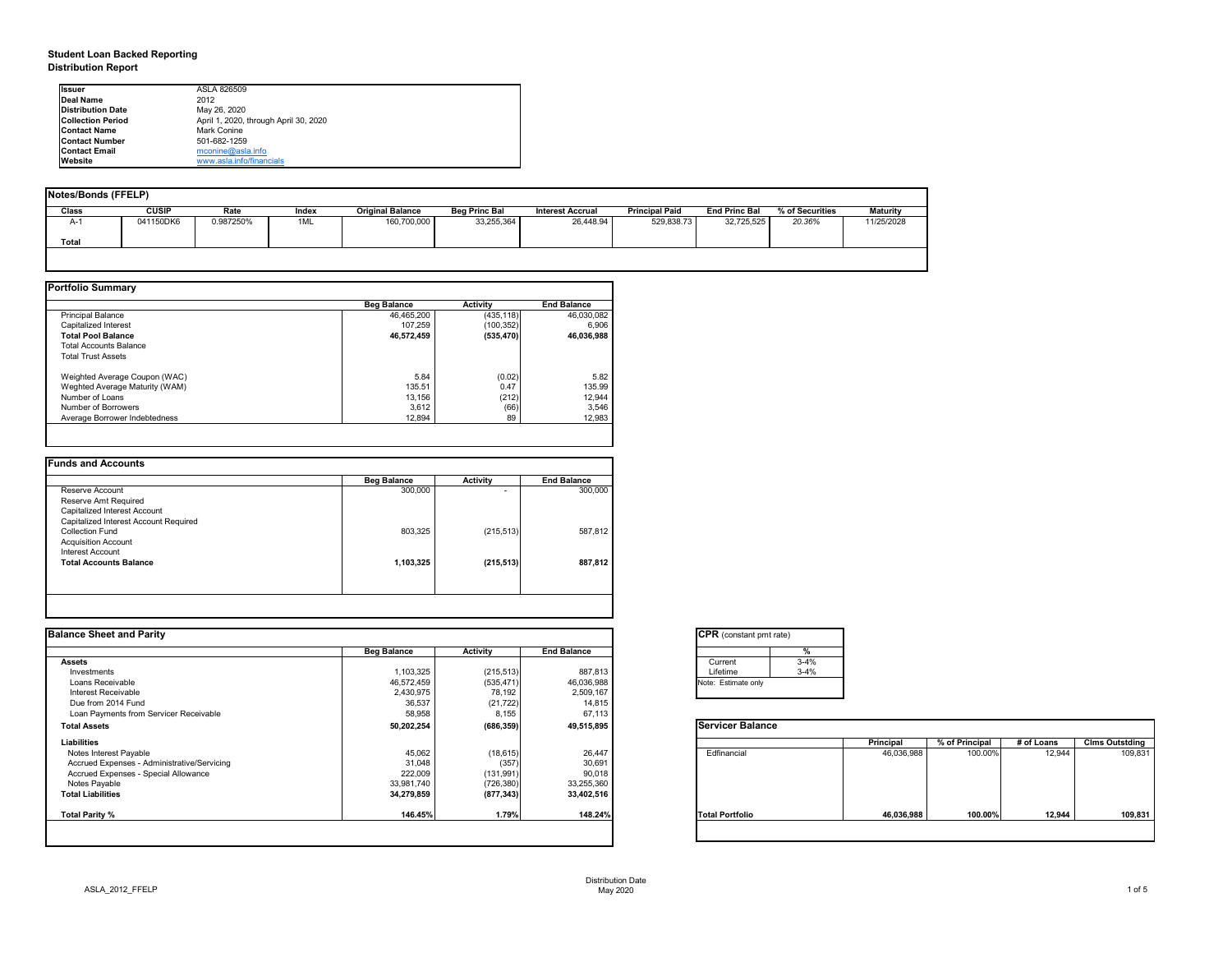# **Student Loan Backed Reporting Distribution Report**

| Notes/Bonds (FFELP) |              |           |       |                         |                      |                         |                       |                      |                 |                 |  |
|---------------------|--------------|-----------|-------|-------------------------|----------------------|-------------------------|-----------------------|----------------------|-----------------|-----------------|--|
| Class               | <b>CUSIP</b> | Rate      | Index | <b>Original Balance</b> | <b>Beg Princ Bal</b> | <b>Interest Accrual</b> | <b>Principal Paid</b> | <b>End Princ Bal</b> | % of Securities | <b>Maturity</b> |  |
| A-1                 | 041150DK6    | 0.987250% | 1ML   | 160,700,000             | 33,255,364           | 26,448.94               | 529,838.73            | 32,725,525           | 20.36%          | 11/25/2028      |  |
| <b>Total</b>        |              |           |       |                         |                      |                         |                       |                      |                 |                 |  |
|                     |              |           |       |                         |                      |                         |                       |                      |                 |                 |  |

|                                | <b>Beg Balance</b> | <b>Activity</b> | <b>End Balance</b> |
|--------------------------------|--------------------|-----------------|--------------------|
| <b>Principal Balance</b>       | 46,465,200         | (435, 118)      | 46,030,082         |
| Capitalized Interest           | 107,259            | (100, 352)      | 6,906              |
| <b>Total Pool Balance</b>      | 46,572,459         | (535, 470)      | 46,036,988         |
| <b>Total Accounts Balance</b>  |                    |                 |                    |
| <b>Total Trust Assets</b>      |                    |                 |                    |
| Weighted Average Coupon (WAC)  | 5.84               | (0.02)          | 5.82               |
| Weghted Average Maturity (WAM) | 135.51             | 0.47            | 135.99             |
| Number of Loans                | 13,156             | (212)           | 12,944             |
| Number of Borrowers            | 3,612              | (66)            | 3,546              |
| Average Borrower Indebtedness  | 12,894             | 89              | 12,983             |

| <b>Beg Balance</b> | <b>Activity</b>          | <b>End Balance</b> |
|--------------------|--------------------------|--------------------|
| 300,000            | $\overline{\phantom{0}}$ | 300,000            |
|                    |                          |                    |
|                    |                          |                    |
|                    |                          |                    |
| 803,325            | (215, 513)               | 587,812            |
|                    |                          |                    |
|                    |                          |                    |
| 1,103,325          | (215, 513)               | 887,812            |
|                    |                          |                    |
|                    |                          |                    |
|                    |                          |                    |

| Ilssuer                  | ASLA 826509                           |
|--------------------------|---------------------------------------|
| <b>IDeal Name</b>        | 2012                                  |
| <b>Distribution Date</b> | May 26, 2020                          |
| <b>Collection Period</b> | April 1, 2020, through April 30, 2020 |
| <b>IContact Name</b>     | <b>Mark Conine</b>                    |
| <b>IContact Number</b>   | 501-682-1259                          |
| <b>Contact Email</b>     | mconine@asla.info                     |
| <b>IWebsite</b>          | www.asla.info/financials              |

| <b>Balance Sheet and Parity</b>             |                    |                 |                    | <b>CPR</b> (constant pmt rate) |          |                  |                |            |                       |
|---------------------------------------------|--------------------|-----------------|--------------------|--------------------------------|----------|------------------|----------------|------------|-----------------------|
|                                             | <b>Beg Balance</b> | <b>Activity</b> | <b>End Balance</b> |                                |          |                  |                |            |                       |
| <b>Assets</b>                               |                    |                 |                    | Current                        | $3 - 4%$ |                  |                |            |                       |
| Investments                                 | 1,103,325          | (215, 513)      | 887,813            | Lifetime                       | $3 - 4%$ |                  |                |            |                       |
| Loans Receivable                            | 46,572,459         | (535, 471)      | 46,036,988         | Note: Estimate only            |          |                  |                |            |                       |
| Interest Receivable                         | 2,430,975          | 78,192          | 2,509,167          |                                |          |                  |                |            |                       |
| Due from 2014 Fund                          | 36,537             | (21, 722)       | 14,815             |                                |          |                  |                |            |                       |
| Loan Payments from Servicer Receivable      | 58,958             | 8,155           | 67,113             |                                |          |                  |                |            |                       |
| <b>Total Assets</b>                         | 50,202,254         | (686, 359)      | 49,515,895         | <b>Servicer Balance</b>        |          |                  |                |            |                       |
| Liabilities                                 |                    |                 |                    |                                |          | <b>Principal</b> | % of Principal | # of Loans | <b>Clms Outstding</b> |
| Notes Interest Payable                      | 45,062             | (18, 615)       | 26,447             | Edfinancial                    |          | 46,036,988       | 100.00%        | 12,944     | 109,831               |
| Accrued Expenses - Administrative/Servicing | 31,048             | (357)           | 30,691             |                                |          |                  |                |            |                       |
| Accrued Expenses - Special Allowance        | 222,009            | (131, 991)      | 90,018             |                                |          |                  |                |            |                       |
| Notes Payable                               | 33,981,740         | (726, 380)      | 33,255,360         |                                |          |                  |                |            |                       |
| <b>Total Liabilities</b>                    | 34,279,859         | (877, 343)      | 33,402,516         |                                |          |                  |                |            |                       |
| <b>Total Parity %</b>                       | 146.45%            | 1.79%           | 148.24%            | <b>Total Portfolio</b>         |          | 46,036,988       | 100.00%        | 12,944     | 109,831               |
|                                             |                    |                 |                    |                                |          |                  |                |            |                       |

| tant pmt rate) |          |  |  |  |  |  |  |  |  |
|----------------|----------|--|--|--|--|--|--|--|--|
|                | $\%$     |  |  |  |  |  |  |  |  |
|                | $3 - 4%$ |  |  |  |  |  |  |  |  |
|                | $3 - 4%$ |  |  |  |  |  |  |  |  |
| te only        |          |  |  |  |  |  |  |  |  |
|                |          |  |  |  |  |  |  |  |  |

|      | <b>Principal</b> | % of Principal | # of Loans | <b>Clms Outstding</b> |
|------|------------------|----------------|------------|-----------------------|
| al   | 46,036,988       | 100.00%        | 12,944     | 109,831               |
| oilc | 46,036,988       | 100.00%        | 12,944     | 109,831               |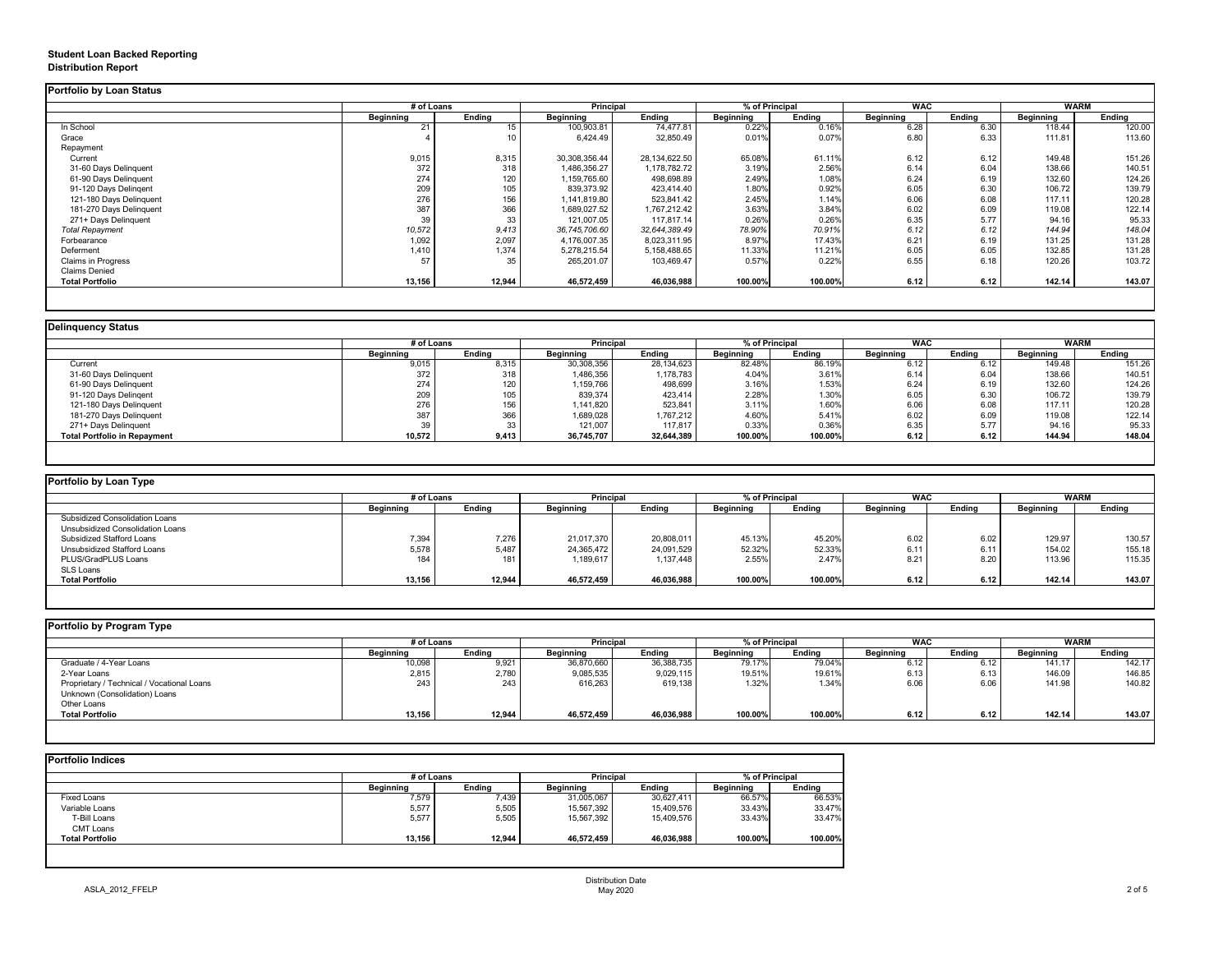# **Student Loan Backed Reporting Distribution Report**

### **Delinquency Status**

|                           | # of Loans       |               | Principal        |               | % of Principal   |               | <b>WAC</b>       |               | <b>WARM</b>      |               |
|---------------------------|------------------|---------------|------------------|---------------|------------------|---------------|------------------|---------------|------------------|---------------|
|                           | <b>Beginning</b> | <b>Ending</b> | <b>Beginning</b> | <b>Ending</b> | <b>Beginning</b> | <b>Ending</b> | <b>Beginning</b> | <b>Ending</b> | <b>Beginning</b> | <b>Ending</b> |
| In School                 | 21               |               | 100,903.81       | 74,477.81     | 0.22%            | 0.16%         | 6.28             | 6.30          | 118.44           | 120.00        |
| Grace                     |                  |               | 6,424.49         | 32,850.49     | 0.01%            | 0.07%         | 6.80             | 6.33          | 111.81           | 113.60        |
| Repayment                 |                  |               |                  |               |                  |               |                  |               |                  |               |
| Current                   | 9,015            | 8,315         | 30,308,356.44    | 28,134,622.50 | 65.08%           | 61.11%        | 6.12             | 6.12          | 149.48           | 151.26        |
| 31-60 Days Delinquent     | 372              | 318           | 1,486,356.27     | 1,178,782.72  | 3.19%            | 2.56%         | 6.14             | 6.04          | 138.66           | 140.51        |
| 61-90 Days Delinquent     | 274              | 120           | 1,159,765.60     | 498,698.89    | 2.49%            | 1.08%         | 6.24             | 6.19          | 132.60           | 124.26        |
| 91-120 Days Delingent     | 209              | 105           | 839,373.92       | 423,414.40    | 1.80%            | 0.92%         | 6.05             | 6.30          | 106.72           | 139.79        |
| 121-180 Days Delinquent   | 276              | 156           | 1,141,819.80     | 523,841.42    | 2.45%            | 1.14%         | 6.06             | 6.08          | 117.11           | 120.28        |
| 181-270 Days Delinquent   | 387              | 366           | 1,689,027.52     | 1,767,212.42  | 3.63%            | 3.84%         | 6.02             | 6.09          | 119.08           | 122.14        |
| 271+ Days Delinquent      | 39               | 33            | 121,007.05       | 117,817.14    | 0.26%            | 0.26%         | 6.35             | 5.77          | 94.16            | 95.33         |
| <b>Total Repayment</b>    | 10,572           | 9,413         | 36,745,706.60    | 32,644,389.49 | 78.90%           | 70.91%        | 6.12             | 6.12          | 144.94           | 148.04        |
| Forbearance               | 1,092            | 2,097         | 4,176,007.35     | 8,023,311.95  | 8.97%            | 17.43%        | 6.21             | 6.19          | 131.25           | 131.28        |
| Deferment                 | 1,410            | 1,374         | 5,278,215.54     | 5,158,488.65  | 11.33%           | 11.21%        | 6.05             | 6.05          | 132.85           | 131.28        |
| <b>Claims in Progress</b> | 57               | 35            | 265,201.07       | 103,469.47    | 0.57%            | 0.22%         | 6.55             | 6.18          | 120.26           | 103.72        |
| <b>Claims Denied</b>      |                  |               |                  |               |                  |               |                  |               |                  |               |
| <b>Total Portfolio</b>    | 13,156           | 12,944        | 46,572,459       | 46,036,988    | 100.00%          | 100.00%       | 6.12             | 6.12          | 142.14           | 143.07        |

|                                     | # of Loans       |               | <b>Principal</b> |               | % of Principal   |               | <b>WAC</b>       |               | <b>WARM</b>      |               |
|-------------------------------------|------------------|---------------|------------------|---------------|------------------|---------------|------------------|---------------|------------------|---------------|
|                                     | <b>Beginning</b> | <b>Ending</b> | <b>Beginning</b> | <b>Ending</b> | <b>Beginning</b> | <b>Ending</b> | <b>Beginning</b> | <b>Ending</b> | <b>Beginning</b> | <b>Ending</b> |
| Current                             | 9,015            | 8,315         | 30,308,356       | 28,134,623    | 82.48%           | 86.19%        | 6.12             | 6.12          | 149.48           | 151.26        |
| 31-60 Days Delinquent               | 372              | 318           | 1,486,356        | 1,178,783     | 4.04%            | 3.61%         | 6.14             | 6.04          | 138.66           | 140.51        |
| 61-90 Days Delinquent               | 274              | 120           | 1,159,766        | 498,699       | 3.16%            | 1.53%         | 6.24             | 6.19          | 132.60           | 124.26        |
| 91-120 Days Delingent               | 209              | 105           | 839,374          | 423,414       | 2.28%            | 1.30%         | 6.05             | 6.30          | 106.72           | 139.79        |
| 121-180 Days Delinquent             | 276              | 156           | 1,141,820        | 523,841       | 3.11%            | 1.60%         | 6.06             | 6.08          | 117.11           | 120.28        |
| 181-270 Days Delinquent             | 387              | 366           | 1,689,028        | 1,767,212     | 4.60%            | 5.41%         | 6.02             | 6.09          | 119.08           | 122.14        |
| 271+ Days Delinquent                | 39               | 33            | 121,007          | 117,817       | 0.33%            | 0.36%         | 6.35             | 5.77          | 94.16            | 95.33         |
| <b>Total Portfolio in Repayment</b> | 10,572           | 9,413         | 36,745,707       | 32,644,389    | 100.00%          | 100.00%       | 6.12             | 6.12          | 144.94           | 148.04        |

| Portfolio by Loan Type                |                  |               |                  |               |                  |               |                  |               |                  |               |
|---------------------------------------|------------------|---------------|------------------|---------------|------------------|---------------|------------------|---------------|------------------|---------------|
|                                       | # of Loans       |               | <b>Principal</b> |               | % of Principal   |               | <b>WAC</b>       |               | <b>WARM</b>      |               |
|                                       | <b>Beginning</b> | <b>Ending</b> | <b>Beginning</b> | <b>Ending</b> | <b>Beginning</b> | <b>Ending</b> | <b>Beginning</b> | <b>Ending</b> | <b>Beginning</b> | <b>Ending</b> |
| <b>Subsidized Consolidation Loans</b> |                  |               |                  |               |                  |               |                  |               |                  |               |
| Unsubsidized Consolidation Loans      |                  |               |                  |               |                  |               |                  |               |                  |               |
| <b>Subsidized Stafford Loans</b>      | 7,394            | 7,276         | 21,017,370       | 20,808,011    | 45.13%           | 45.20%        | 6.02             | 6.02          | 129.97           | 130.57        |
| <b>Unsubsidized Stafford Loans</b>    | 5,578            | 5,487         | 24,365,472       | 24,091,529    | 52.32%           | 52.33%        | 6.11             | 6.11          | 154.02           | 155.18        |
| PLUS/GradPLUS Loans                   | 184              | 181           | ,189,617         | 1,137,448     | 2.55%            | 2.47%         | 8.21             | 8.20          | 113.96           | 115.35        |
| <b>SLS Loans</b>                      |                  |               |                  |               |                  |               |                  |               |                  |               |
| <b>Total Portfolio</b>                | 13,156           | 12,944        | 46,572,459       | 46,036,988    | 100.00%          | 100.00%       | 6.12             | 6.12          | 142.14           | 143.07        |

|  |  | Portfolio by Program Type |  |
|--|--|---------------------------|--|
|--|--|---------------------------|--|

| <b>Portfolio by Program Type</b>           |                  |               |                  |               |                  |               |                  |               |                  |               |
|--------------------------------------------|------------------|---------------|------------------|---------------|------------------|---------------|------------------|---------------|------------------|---------------|
|                                            | # of Loans       |               | Principal        |               | % of Principal   |               | <b>WAC</b>       |               |                  | <b>WARM</b>   |
|                                            | <b>Beginning</b> | <b>Ending</b> | <b>Beginning</b> | <b>Ending</b> | <b>Beginning</b> | <b>Ending</b> | <b>Beginning</b> | <b>Ending</b> | <b>Beginning</b> | <b>Ending</b> |
| Graduate / 4-Year Loans                    | 10,098           | 9,921         | 36,870,660       | 36,388,735    | 79.17%           | 79.04%        | 6.12             | 6.12          | 141.17           | 142.17        |
| 2-Year Loans                               | 2,815            | 2,780         | 9,085,535        | 9,029,115     | 19.51%           | 19.61%        | 6.13             | 6.13          | 146.09           | 146.85        |
| Proprietary / Technical / Vocational Loans | 243              | 243           | 616,263          | 619,138       | 1.32%            | 1.34%         | 6.06             | 6.06          | 141.98           | 140.82        |
| Unknown (Consolidation) Loans              |                  |               |                  |               |                  |               |                  |               |                  |               |
| Other Loans                                |                  |               |                  |               |                  |               |                  |               |                  |               |
| <b>Total Portfolio</b>                     | 13,156           | 12,944        | 46,572,459       | 46,036,988    | 100.00%          | 100.00%       | 6.12             | 6.12          | 142.14           | 143.07        |
|                                            |                  |               |                  |               |                  |               |                  |               |                  |               |

|                        |                  | # of Loans    |                  | <b>Principal</b> |                  | % of Principal |  |
|------------------------|------------------|---------------|------------------|------------------|------------------|----------------|--|
|                        | <b>Beginning</b> | <b>Ending</b> | <b>Beginning</b> | <b>Ending</b>    | <b>Beginning</b> | <b>Ending</b>  |  |
| <b>Fixed Loans</b>     | 7,579            | 7,439         | 31,005,067       | 30,627,411       | 66.57%           | 66.53%         |  |
| Variable Loans         | 5,577            | 5,505         | 15,567,392       | 15,409,576       | 33.43%           | 33.47%         |  |
| T-Bill Loans           | 5,577            | 5,505         | 15,567,392       | 15,409,576       | 33.43%           | 33.47%         |  |
| <b>CMT Loans</b>       |                  |               |                  |                  |                  |                |  |
| <b>Total Portfolio</b> | 13,156           | 12,944        | 46,572,459       | 46,036,988       | 100.00%          | 100.00%        |  |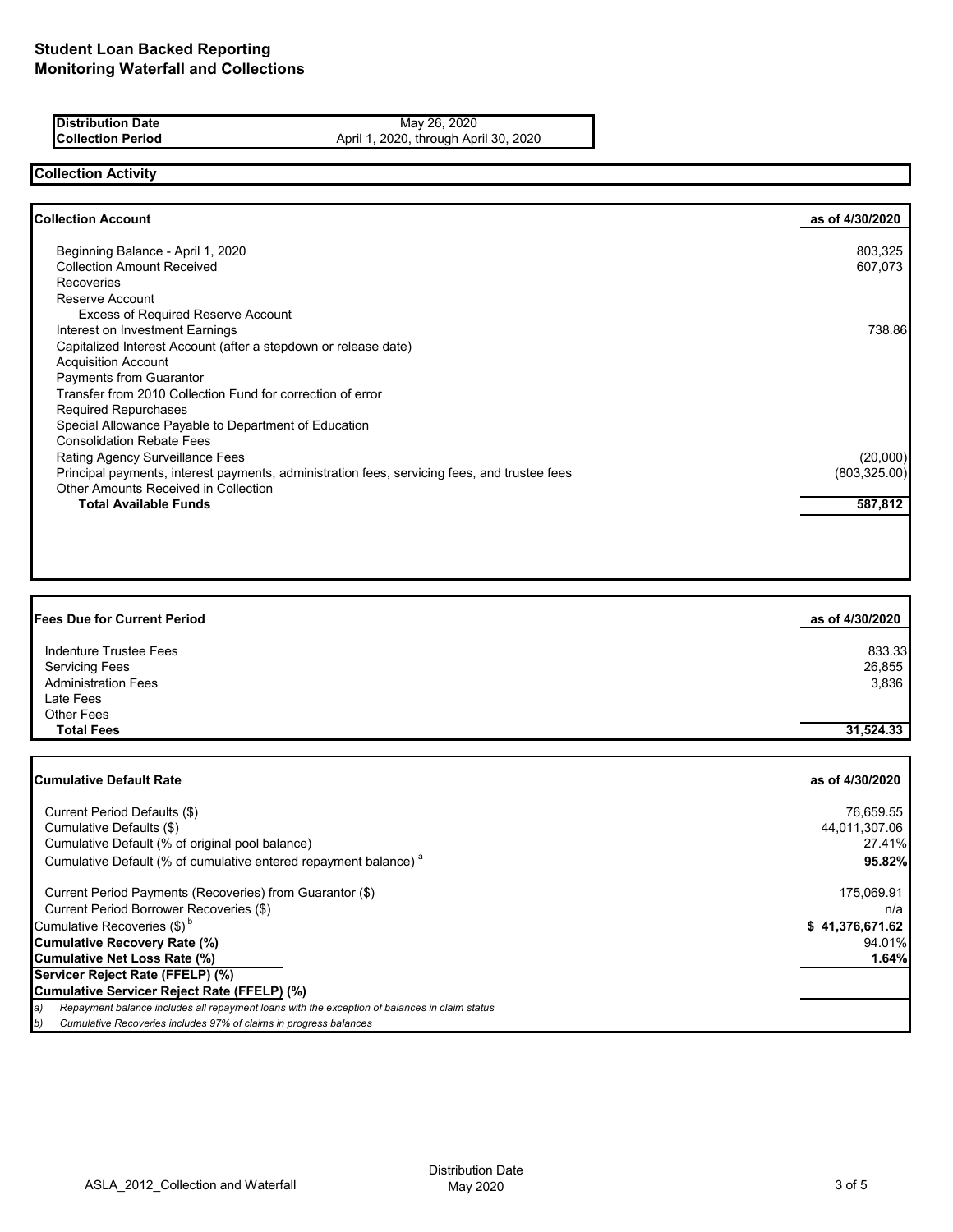| <b>Distribution Date</b> | May 26, 2020            |
|--------------------------|-------------------------|
| <b>Collection Period</b> | April 1 2020 through Ap |

**Collection Period** April 1, 2020, through April 30, 2020

## **Collection Activity**

| <b>Collection Account</b>                                                                    | as of 4/30/2020 |
|----------------------------------------------------------------------------------------------|-----------------|
| Beginning Balance - April 1, 2020                                                            | 803,325         |
| <b>Collection Amount Received</b>                                                            | 607,073         |
| <b>Recoveries</b>                                                                            |                 |
| Reserve Account                                                                              |                 |
| <b>Excess of Required Reserve Account</b>                                                    |                 |
| Interest on Investment Earnings                                                              | 738.86          |
| Capitalized Interest Account (after a stepdown or release date)                              |                 |
| <b>Acquisition Account</b>                                                                   |                 |
| Payments from Guarantor                                                                      |                 |
| Transfer from 2010 Collection Fund for correction of error                                   |                 |
| <b>Required Repurchases</b>                                                                  |                 |
| Special Allowance Payable to Department of Education                                         |                 |
| <b>Consolidation Rebate Fees</b>                                                             |                 |
| Rating Agency Surveillance Fees                                                              | (20,000)        |
| Principal payments, interest payments, administration fees, servicing fees, and trustee fees | (803, 325.00)   |
| Other Amounts Received in Collection                                                         |                 |
| <b>Total Available Funds</b>                                                                 | 587,812         |
|                                                                                              |                 |

| <b>Fees Due for Current Period</b> | as of 4/30/2020 |
|------------------------------------|-----------------|
| Indenture Trustee Fees             | 833.33          |
| <b>Servicing Fees</b>              | 26,855          |
| <b>Administration Fees</b>         | 3,836           |
| Late Fees                          |                 |
| <b>Other Fees</b>                  |                 |
| <b>Total Fees</b>                  | 31,524.33       |

| <b>Cumulative Default Rate</b>                                                                      | as of 4/30/2020 |
|-----------------------------------------------------------------------------------------------------|-----------------|
|                                                                                                     |                 |
| Current Period Defaults (\$)                                                                        | 76,659.55       |
| Cumulative Defaults (\$)                                                                            | 44,011,307.06   |
| Cumulative Default (% of original pool balance)                                                     | 27.41%          |
| Cumulative Default (% of cumulative entered repayment balance) <sup>a</sup>                         | 95.82%          |
| Current Period Payments (Recoveries) from Guarantor (\$)                                            | 175,069.91      |
| Current Period Borrower Recoveries (\$)                                                             | n/a             |
| Cumulative Recoveries (\$) <sup>b</sup>                                                             | \$41,376,671.62 |
| <b>Cumulative Recovery Rate (%)</b>                                                                 | 94.01%          |
| <b>Cumulative Net Loss Rate (%)</b>                                                                 | 1.64%           |
| Servicer Reject Rate (FFELP) (%)                                                                    |                 |
| Cumulative Servicer Reject Rate (FFELP) (%)                                                         |                 |
| Repayment balance includes all repayment loans with the exception of balances in claim status<br>a) |                 |
| Cumulative Recoveries includes 97% of claims in progress balances<br>b)                             |                 |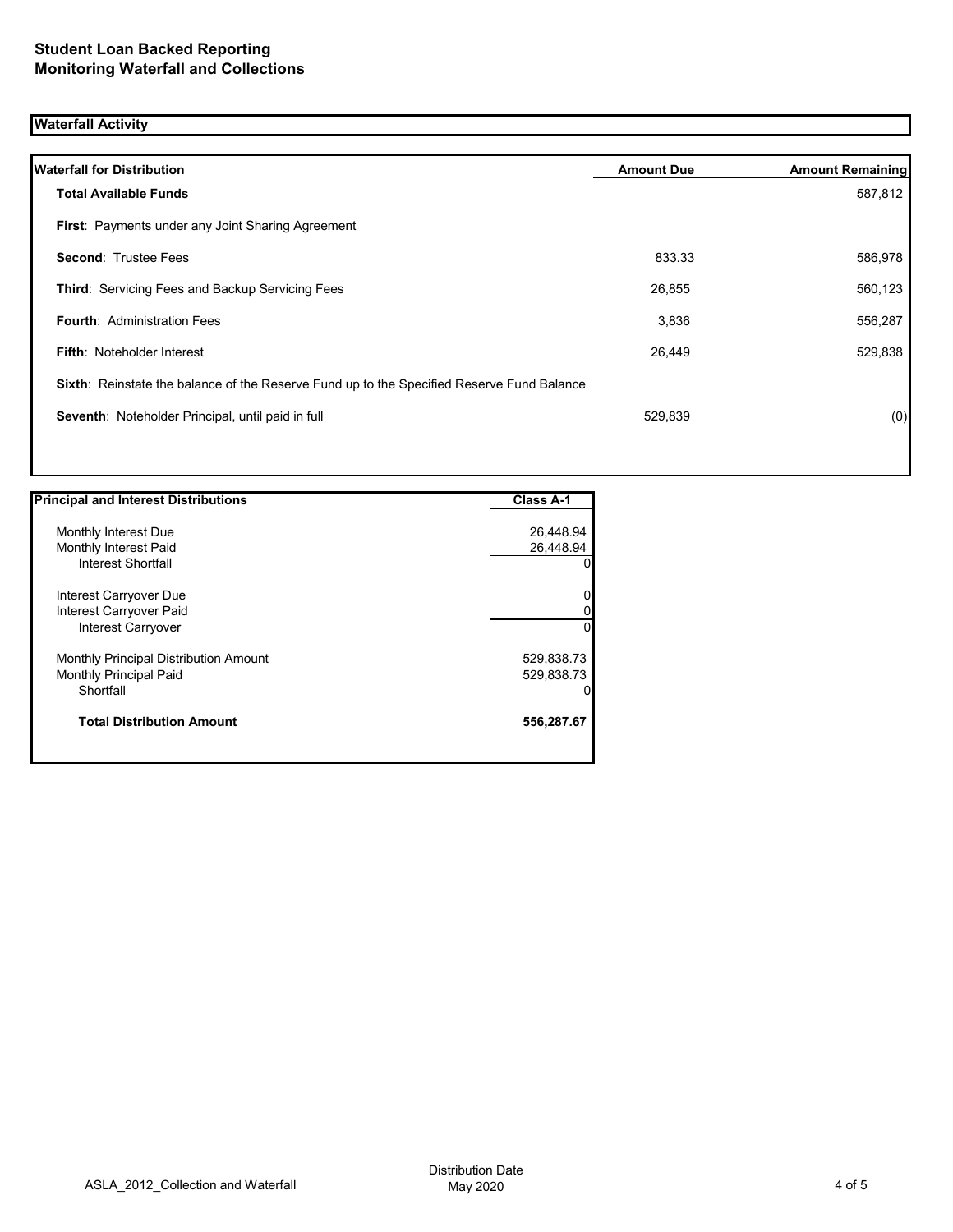## **Waterfall Activity**

| <b>Waterfall for Distribution</b>                                                         | <b>Amount Due</b> | <b>Amount Remaining</b> |
|-------------------------------------------------------------------------------------------|-------------------|-------------------------|
| <b>Total Available Funds</b>                                                              |                   | 587,812                 |
| First: Payments under any Joint Sharing Agreement                                         |                   |                         |
| <b>Second: Trustee Fees</b>                                                               | 833.33            | 586,978                 |
| <b>Third: Servicing Fees and Backup Servicing Fees</b>                                    | 26,855            | 560,123                 |
| <b>Fourth: Administration Fees</b>                                                        | 3,836             | 556,287                 |
| <b>Fifth: Noteholder Interest</b>                                                         | 26,449            | 529,838                 |
| Sixth: Reinstate the balance of the Reserve Fund up to the Specified Reserve Fund Balance |                   |                         |
| Seventh: Noteholder Principal, until paid in full                                         | 529,839           | (0)                     |
|                                                                                           |                   |                         |

| <b>Principal and Interest Distributions</b>  | Class A-1  |
|----------------------------------------------|------------|
|                                              |            |
| Monthly Interest Due                         | 26,448.94  |
| Monthly Interest Paid                        | 26,448.94  |
| Interest Shortfall                           | 0          |
| Interest Carryover Due                       | 0          |
| Interest Carryover Paid                      |            |
| Interest Carryover                           | $\Omega$   |
| <b>Monthly Principal Distribution Amount</b> | 529,838.73 |
| <b>Monthly Principal Paid</b>                | 529,838.73 |
| Shortfall                                    |            |
| <b>Total Distribution Amount</b>             | 556,287.67 |
|                                              |            |